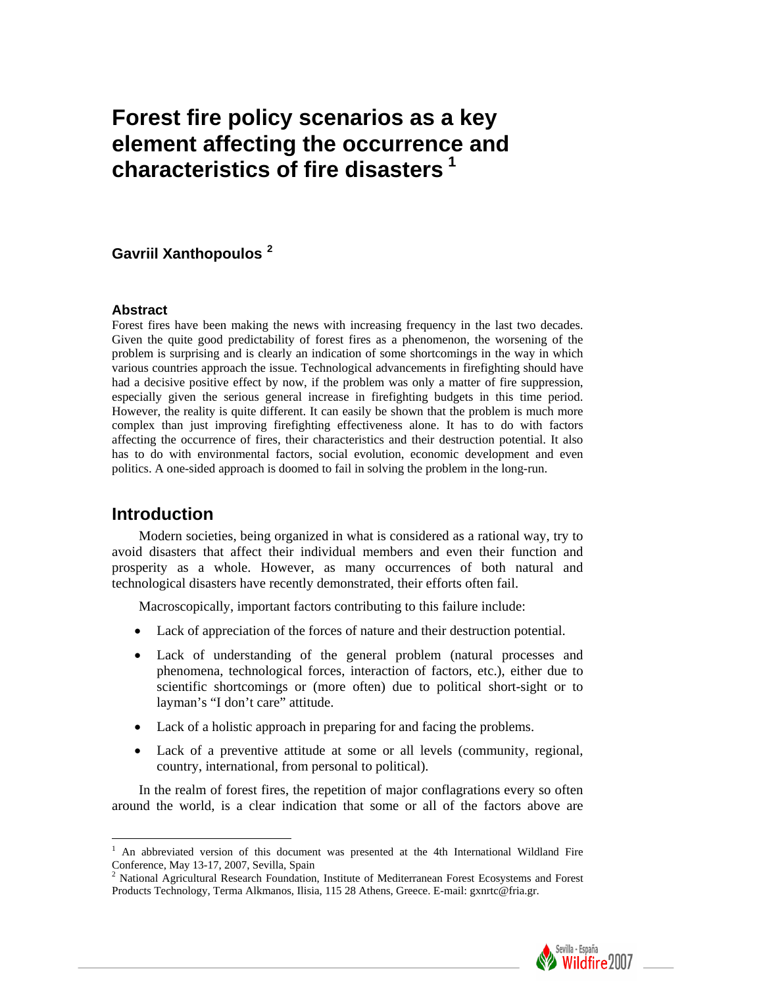# **Forest fire policy scenarios as a key element affecting the occurrence and characteristics of fire disasters [1](#page-0-0)**

## **Gavriil Xanthopoulos [2](#page-0-1)**

#### **Abstract**

Forest fires have been making the news with increasing frequency in the last two decades. Given the quite good predictability of forest fires as a phenomenon, the worsening of the problem is surprising and is clearly an indication of some shortcomings in the way in which various countries approach the issue. Technological advancements in firefighting should have had a decisive positive effect by now, if the problem was only a matter of fire suppression, especially given the serious general increase in firefighting budgets in this time period. However, the reality is quite different. It can easily be shown that the problem is much more complex than just improving firefighting effectiveness alone. It has to do with factors affecting the occurrence of fires, their characteristics and their destruction potential. It also has to do with environmental factors, social evolution, economic development and even politics. A one-sided approach is doomed to fail in solving the problem in the long-run.

# **Introduction**

Modern societies, being organized in what is considered as a rational way, try to avoid disasters that affect their individual members and even their function and prosperity as a whole. However, as many occurrences of both natural and technological disasters have recently demonstrated, their efforts often fail.

Macroscopically, important factors contributing to this failure include:

- Lack of appreciation of the forces of nature and their destruction potential.
- Lack of understanding of the general problem (natural processes and phenomena, technological forces, interaction of factors, etc.), either due to scientific shortcomings or (more often) due to political short-sight or to layman's "I don't care" attitude.
- Lack of a holistic approach in preparing for and facing the problems.
- Lack of a preventive attitude at some or all levels (community, regional, country, international, from personal to political).

In the realm of forest fires, the repetition of major conflagrations every so often around the world, is a clear indication that some or all of the factors above are

<span id="page-0-1"></span><sup>2</sup> National Agricultural Research Foundation, Institute of Mediterranean Forest Ecosystems and Forest Products Technology, Terma Alkmanos, Ilisia, 115 28 Athens, Greece. E-mail: gxnrtc@fria.gr.



<span id="page-0-0"></span><sup>&</sup>lt;sup>1</sup> An abbreviated version of this document was presented at the 4th International Wildland Fire Conference, May 13-17, 2007, Sevilla, Spain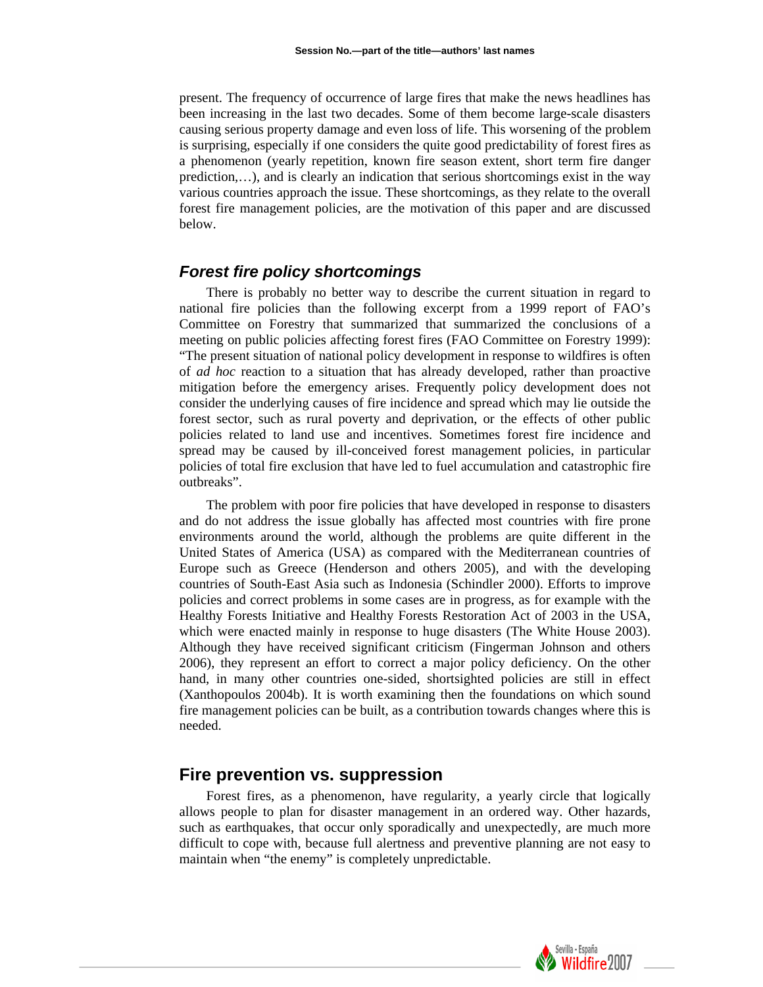present. The frequency of occurrence of large fires that make the news headlines has been increasing in the last two decades. Some of them become large-scale disasters causing serious property damage and even loss of life. This worsening of the problem is surprising, especially if one considers the quite good predictability of forest fires as a phenomenon (yearly repetition, known fire season extent, short term fire danger prediction,…), and is clearly an indication that serious shortcomings exist in the way various countries approach the issue. These shortcomings, as they relate to the overall forest fire management policies, are the motivation of this paper and are discussed below.

#### *Forest fire policy shortcomings*

There is probably no better way to describe the current situation in regard to national fire policies than the following excerpt from a 1999 report of FAO's Committee on Forestry that summarized that summarized the conclusions of a meeting on public policies affecting forest fires (FAO Committee on Forestry 1999): "The present situation of national policy development in response to wildfires is often of *ad hoc* reaction to a situation that has already developed, rather than proactive mitigation before the emergency arises. Frequently policy development does not consider the underlying causes of fire incidence and spread which may lie outside the forest sector, such as rural poverty and deprivation, or the effects of other public policies related to land use and incentives. Sometimes forest fire incidence and spread may be caused by ill-conceived forest management policies, in particular policies of total fire exclusion that have led to fuel accumulation and catastrophic fire outbreaks".

The problem with poor fire policies that have developed in response to disasters and do not address the issue globally has affected most countries with fire prone environments around the world, although the problems are quite different in the United States of America (USA) as compared with the Mediterranean countries of Europe such as Greece (Henderson and others 2005), and with the developing countries of South-East Asia such as Indonesia (Schindler 2000). Efforts to improve policies and correct problems in some cases are in progress, as for example with the Healthy Forests Initiative and Healthy Forests Restoration Act of 2003 in the USA, which were enacted mainly in response to huge disasters (The White House 2003). Although they have received significant criticism (Fingerman Johnson and others 2006), they represent an effort to correct a major policy deficiency. On the other hand, in many other countries one-sided, shortsighted policies are still in effect (Xanthopoulos 2004b). It is worth examining then the foundations on which sound fire management policies can be built, as a contribution towards changes where this is needed.

# **Fire prevention vs. suppression**

Forest fires, as a phenomenon, have regularity, a yearly circle that logically allows people to plan for disaster management in an ordered way. Other hazards, such as earthquakes, that occur only sporadically and unexpectedly, are much more difficult to cope with, because full alertness and preventive planning are not easy to maintain when "the enemy" is completely unpredictable.

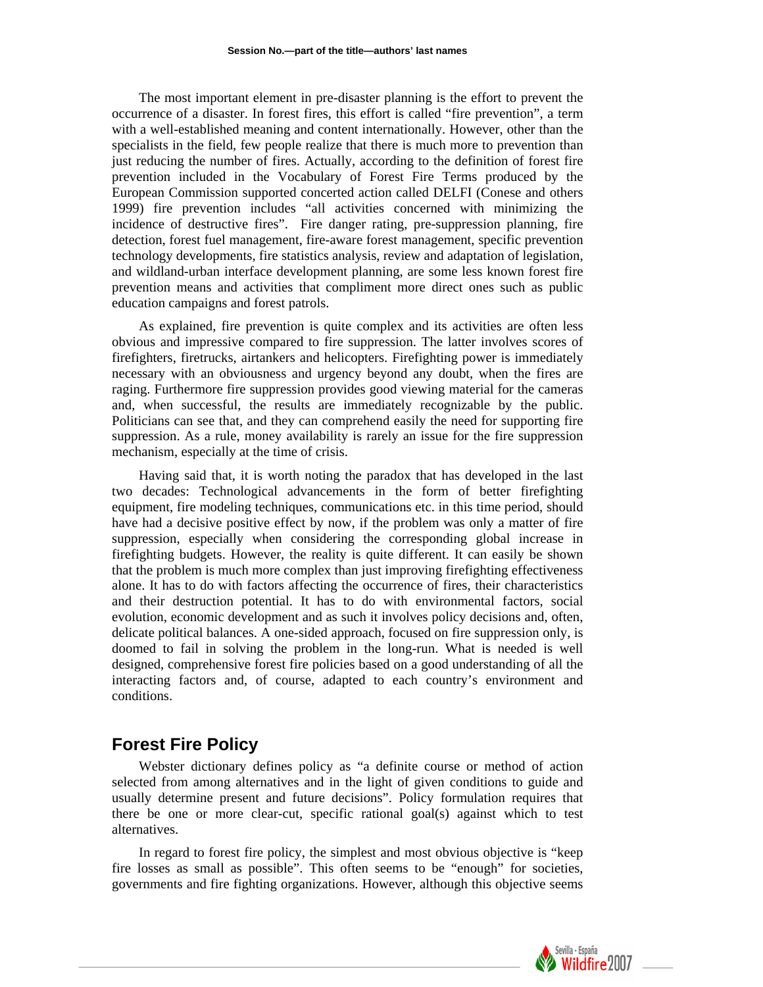The most important element in pre-disaster planning is the effort to prevent the occurrence of a disaster. In forest fires, this effort is called "fire prevention", a term with a well-established meaning and content internationally. However, other than the specialists in the field, few people realize that there is much more to prevention than just reducing the number of fires. Actually, according to the definition of forest fire prevention included in the Vocabulary of Forest Fire Terms produced by the European Commission supported concerted action called DELFI (Conese and others 1999) fire prevention includes "all activities concerned with minimizing the incidence of destructive fires". Fire danger rating, pre-suppression planning, fire detection, forest fuel management, fire-aware forest management, specific prevention technology developments, fire statistics analysis, review and adaptation of legislation, and wildland-urban interface development planning, are some less known forest fire prevention means and activities that compliment more direct ones such as public education campaigns and forest patrols.

As explained, fire prevention is quite complex and its activities are often less obvious and impressive compared to fire suppression. The latter involves scores of firefighters, firetrucks, airtankers and helicopters. Firefighting power is immediately necessary with an obviousness and urgency beyond any doubt, when the fires are raging. Furthermore fire suppression provides good viewing material for the cameras and, when successful, the results are immediately recognizable by the public. Politicians can see that, and they can comprehend easily the need for supporting fire suppression. As a rule, money availability is rarely an issue for the fire suppression mechanism, especially at the time of crisis.

Having said that, it is worth noting the paradox that has developed in the last two decades: Technological advancements in the form of better firefighting equipment, fire modeling techniques, communications etc. in this time period, should have had a decisive positive effect by now, if the problem was only a matter of fire suppression, especially when considering the corresponding global increase in firefighting budgets. However, the reality is quite different. It can easily be shown that the problem is much more complex than just improving firefighting effectiveness alone. It has to do with factors affecting the occurrence of fires, their characteristics and their destruction potential. It has to do with environmental factors, social evolution, economic development and as such it involves policy decisions and, often, delicate political balances. A one-sided approach, focused on fire suppression only, is doomed to fail in solving the problem in the long-run. What is needed is well designed, comprehensive forest fire policies based on a good understanding of all the interacting factors and, of course, adapted to each country's environment and conditions.

# **Forest Fire Policy**

Webster dictionary defines policy as "a definite course or method of action selected from among alternatives and in the light of given conditions to guide and usually determine present and future decisions". Policy formulation requires that there be one or more clear-cut, specific rational goal(s) against which to test alternatives.

In regard to forest fire policy, the simplest and most obvious objective is "keep fire losses as small as possible". This often seems to be "enough" for societies, governments and fire fighting organizations. However, although this objective seems

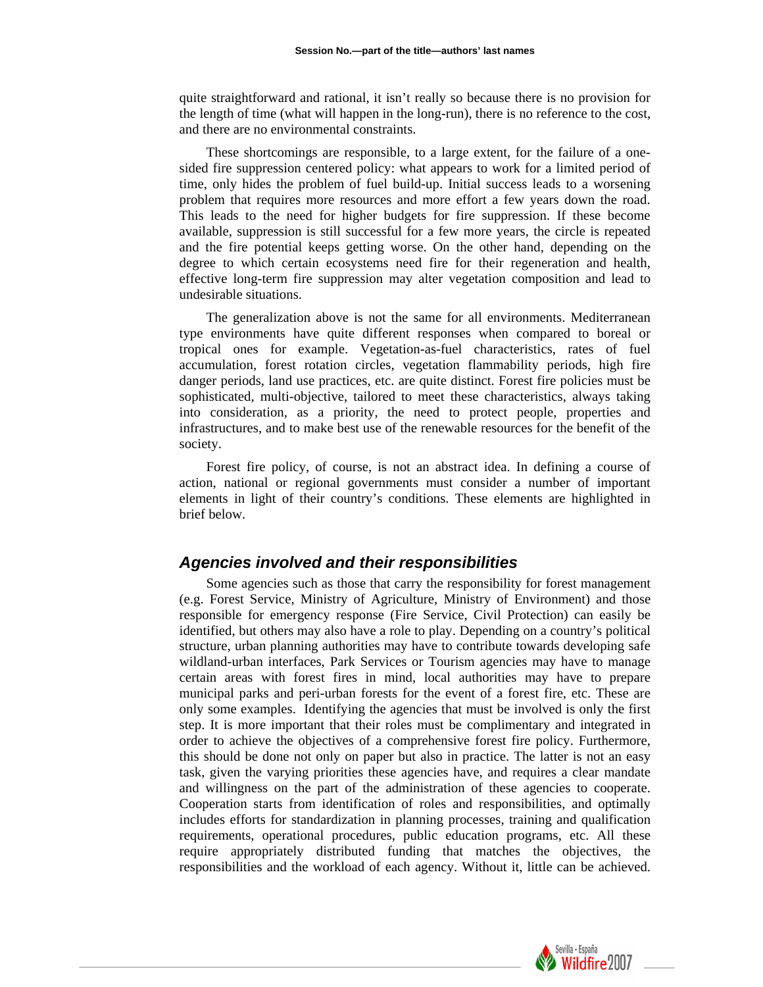quite straightforward and rational, it isn't really so because there is no provision for the length of time (what will happen in the long-run), there is no reference to the cost, and there are no environmental constraints.

These shortcomings are responsible, to a large extent, for the failure of a onesided fire suppression centered policy: what appears to work for a limited period of time, only hides the problem of fuel build-up. Initial success leads to a worsening problem that requires more resources and more effort a few years down the road. This leads to the need for higher budgets for fire suppression. If these become available, suppression is still successful for a few more years, the circle is repeated and the fire potential keeps getting worse. On the other hand, depending on the degree to which certain ecosystems need fire for their regeneration and health, effective long-term fire suppression may alter vegetation composition and lead to undesirable situations.

The generalization above is not the same for all environments. Mediterranean type environments have quite different responses when compared to boreal or tropical ones for example. Vegetation-as-fuel characteristics, rates of fuel accumulation, forest rotation circles, vegetation flammability periods, high fire danger periods, land use practices, etc. are quite distinct. Forest fire policies must be sophisticated, multi-objective, tailored to meet these characteristics, always taking into consideration, as a priority, the need to protect people, properties and infrastructures, and to make best use of the renewable resources for the benefit of the society.

Forest fire policy, of course, is not an abstract idea. In defining a course of action, national or regional governments must consider a number of important elements in light of their country's conditions. These elements are highlighted in brief below.

#### *Agencies involved and their responsibilities*

Some agencies such as those that carry the responsibility for forest management (e.g. Forest Service, Ministry of Agriculture, Ministry of Environment) and those responsible for emergency response (Fire Service, Civil Protection) can easily be identified, but others may also have a role to play. Depending on a country's political structure, urban planning authorities may have to contribute towards developing safe wildland-urban interfaces, Park Services or Tourism agencies may have to manage certain areas with forest fires in mind, local authorities may have to prepare municipal parks and peri-urban forests for the event of a forest fire, etc. These are only some examples. Identifying the agencies that must be involved is only the first step. It is more important that their roles must be complimentary and integrated in order to achieve the objectives of a comprehensive forest fire policy. Furthermore, this should be done not only on paper but also in practice. The latter is not an easy task, given the varying priorities these agencies have, and requires a clear mandate and willingness on the part of the administration of these agencies to cooperate. Cooperation starts from identification of roles and responsibilities, and optimally includes efforts for standardization in planning processes, training and qualification requirements, operational procedures, public education programs, etc. All these require appropriately distributed funding that matches the objectives, the responsibilities and the workload of each agency. Without it, little can be achieved.

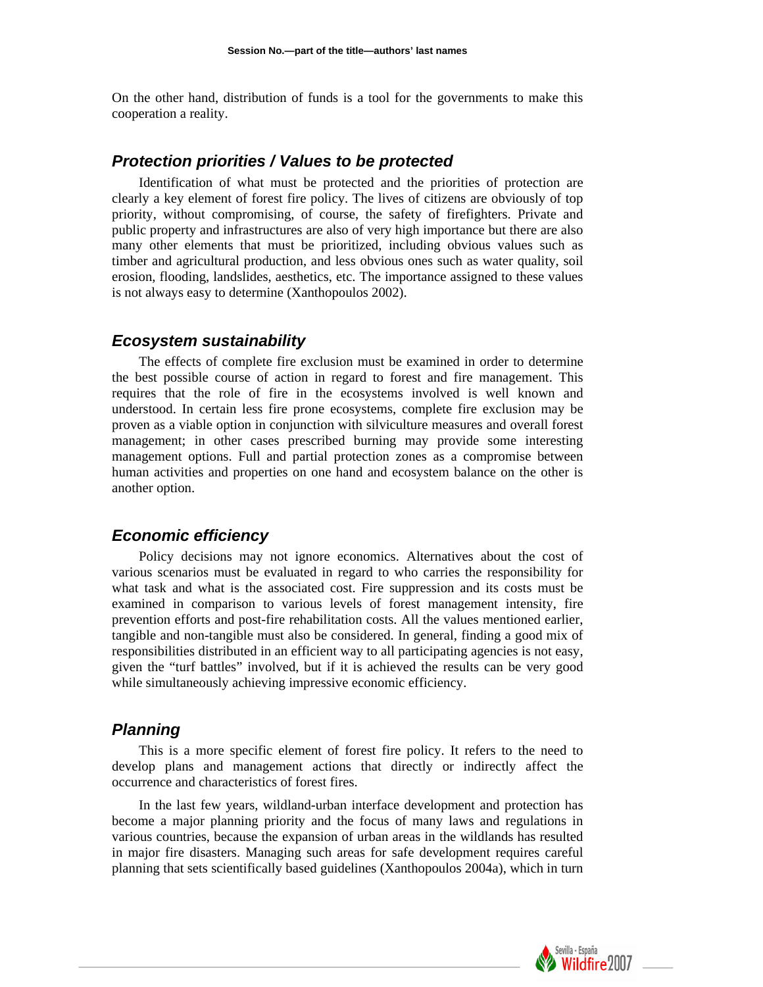On the other hand, distribution of funds is a tool for the governments to make this cooperation a reality.

#### *Protection priorities / Values to be protected*

Identification of what must be protected and the priorities of protection are clearly a key element of forest fire policy. The lives of citizens are obviously of top priority, without compromising, of course, the safety of firefighters. Private and public property and infrastructures are also of very high importance but there are also many other elements that must be prioritized, including obvious values such as timber and agricultural production, and less obvious ones such as water quality, soil erosion, flooding, landslides, aesthetics, etc. The importance assigned to these values is not always easy to determine (Xanthopoulos 2002).

#### *Ecosystem sustainability*

The effects of complete fire exclusion must be examined in order to determine the best possible course of action in regard to forest and fire management. This requires that the role of fire in the ecosystems involved is well known and understood. In certain less fire prone ecosystems, complete fire exclusion may be proven as a viable option in conjunction with silviculture measures and overall forest management; in other cases prescribed burning may provide some interesting management options. Full and partial protection zones as a compromise between human activities and properties on one hand and ecosystem balance on the other is another option.

# *Economic efficiency*

Policy decisions may not ignore economics. Alternatives about the cost of various scenarios must be evaluated in regard to who carries the responsibility for what task and what is the associated cost. Fire suppression and its costs must be examined in comparison to various levels of forest management intensity, fire prevention efforts and post-fire rehabilitation costs. All the values mentioned earlier, tangible and non-tangible must also be considered. In general, finding a good mix of responsibilities distributed in an efficient way to all participating agencies is not easy, given the "turf battles" involved, but if it is achieved the results can be very good while simultaneously achieving impressive economic efficiency.

#### *Planning*

This is a more specific element of forest fire policy. It refers to the need to develop plans and management actions that directly or indirectly affect the occurrence and characteristics of forest fires.

In the last few years, wildland-urban interface development and protection has become a major planning priority and the focus of many laws and regulations in various countries, because the expansion of urban areas in the wildlands has resulted in major fire disasters. Managing such areas for safe development requires careful planning that sets scientifically based guidelines (Xanthopoulos 2004a), which in turn

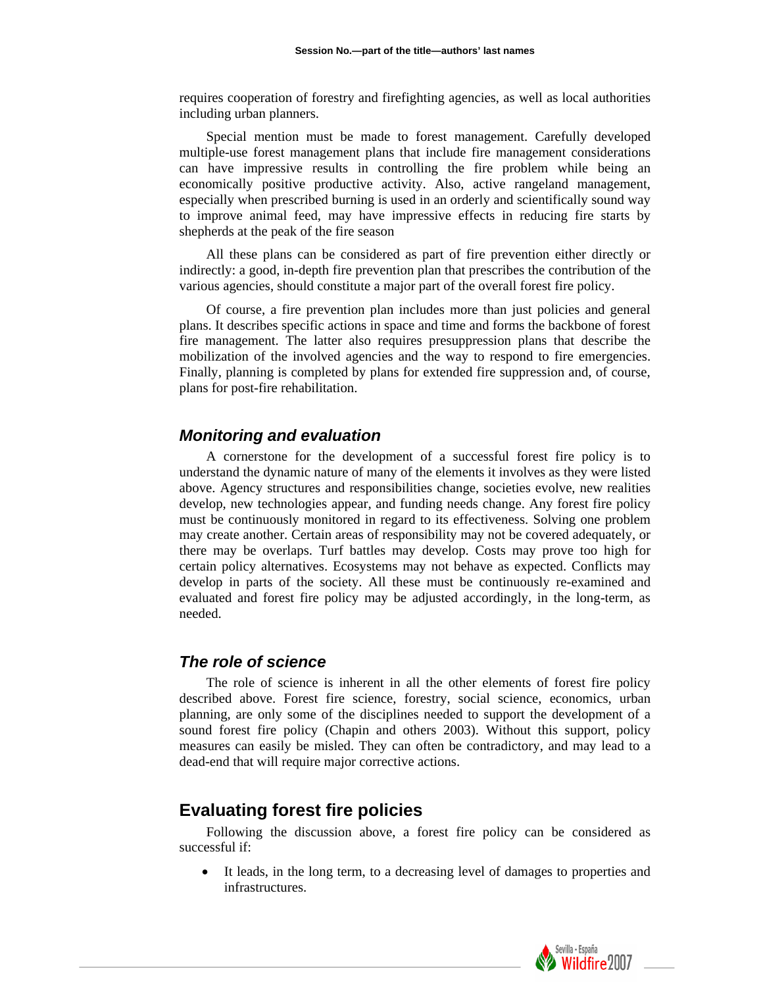requires cooperation of forestry and firefighting agencies, as well as local authorities including urban planners.

Special mention must be made to forest management. Carefully developed multiple-use forest management plans that include fire management considerations can have impressive results in controlling the fire problem while being an economically positive productive activity. Also, active rangeland management, especially when prescribed burning is used in an orderly and scientifically sound way to improve animal feed, may have impressive effects in reducing fire starts by shepherds at the peak of the fire season

All these plans can be considered as part of fire prevention either directly or indirectly: a good, in-depth fire prevention plan that prescribes the contribution of the various agencies, should constitute a major part of the overall forest fire policy.

Of course, a fire prevention plan includes more than just policies and general plans. It describes specific actions in space and time and forms the backbone of forest fire management. The latter also requires presuppression plans that describe the mobilization of the involved agencies and the way to respond to fire emergencies. Finally, planning is completed by plans for extended fire suppression and, of course, plans for post-fire rehabilitation.

#### *Monitoring and evaluation*

A cornerstone for the development of a successful forest fire policy is to understand the dynamic nature of many of the elements it involves as they were listed above. Agency structures and responsibilities change, societies evolve, new realities develop, new technologies appear, and funding needs change. Any forest fire policy must be continuously monitored in regard to its effectiveness. Solving one problem may create another. Certain areas of responsibility may not be covered adequately, or there may be overlaps. Turf battles may develop. Costs may prove too high for certain policy alternatives. Ecosystems may not behave as expected. Conflicts may develop in parts of the society. All these must be continuously re-examined and evaluated and forest fire policy may be adjusted accordingly, in the long-term, as needed.

#### *The role of science*

The role of science is inherent in all the other elements of forest fire policy described above. Forest fire science, forestry, social science, economics, urban planning, are only some of the disciplines needed to support the development of a sound forest fire policy (Chapin and others 2003). Without this support, policy measures can easily be misled. They can often be contradictory, and may lead to a dead-end that will require major corrective actions.

# **Evaluating forest fire policies**

Following the discussion above, a forest fire policy can be considered as successful if:

It leads, in the long term, to a decreasing level of damages to properties and infrastructures.

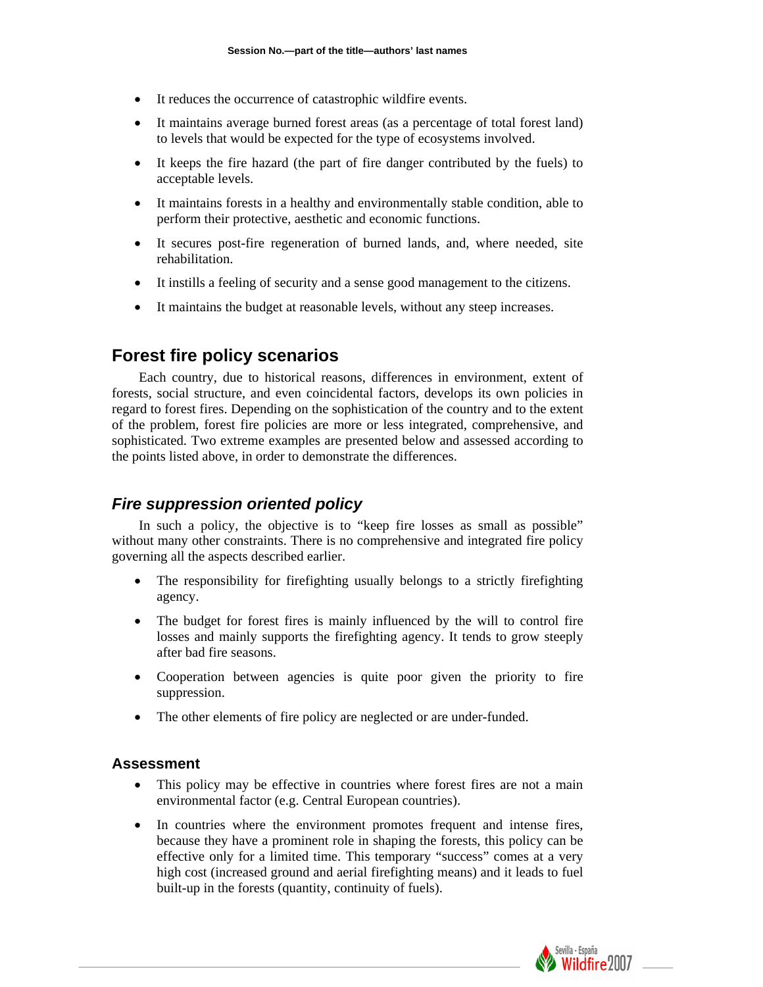- It reduces the occurrence of catastrophic wildfire events.
- It maintains average burned forest areas (as a percentage of total forest land) to levels that would be expected for the type of ecosystems involved.
- It keeps the fire hazard (the part of fire danger contributed by the fuels) to acceptable levels.
- It maintains forests in a healthy and environmentally stable condition, able to perform their protective, aesthetic and economic functions.
- It secures post-fire regeneration of burned lands, and, where needed, site rehabilitation.
- It instills a feeling of security and a sense good management to the citizens.
- It maintains the budget at reasonable levels, without any steep increases.

# **Forest fire policy scenarios**

Each country, due to historical reasons, differences in environment, extent of forests, social structure, and even coincidental factors, develops its own policies in regard to forest fires. Depending on the sophistication of the country and to the extent of the problem, forest fire policies are more or less integrated, comprehensive, and sophisticated. Two extreme examples are presented below and assessed according to the points listed above, in order to demonstrate the differences.

# *Fire suppression oriented policy*

In such a policy, the objective is to "keep fire losses as small as possible" without many other constraints. There is no comprehensive and integrated fire policy governing all the aspects described earlier.

- The responsibility for firefighting usually belongs to a strictly firefighting agency.
- The budget for forest fires is mainly influenced by the will to control fire losses and mainly supports the firefighting agency. It tends to grow steeply after bad fire seasons.
- Cooperation between agencies is quite poor given the priority to fire suppression.
- The other elements of fire policy are neglected or are under-funded.

## **Assessment**

- This policy may be effective in countries where forest fires are not a main environmental factor (e.g. Central European countries).
- In countries where the environment promotes frequent and intense fires, because they have a prominent role in shaping the forests, this policy can be effective only for a limited time. This temporary "success" comes at a very high cost (increased ground and aerial firefighting means) and it leads to fuel built-up in the forests (quantity, continuity of fuels).

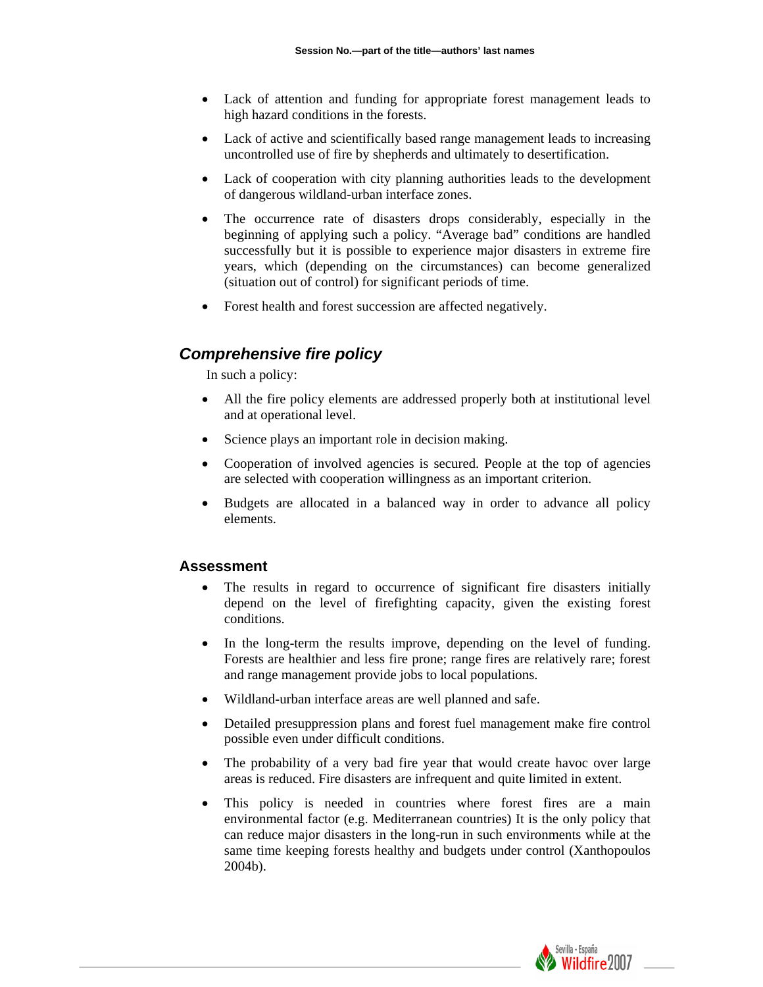- Lack of attention and funding for appropriate forest management leads to high hazard conditions in the forests.
- Lack of active and scientifically based range management leads to increasing uncontrolled use of fire by shepherds and ultimately to desertification.
- Lack of cooperation with city planning authorities leads to the development of dangerous wildland-urban interface zones.
- The occurrence rate of disasters drops considerably, especially in the beginning of applying such a policy. "Average bad" conditions are handled successfully but it is possible to experience major disasters in extreme fire years, which (depending on the circumstances) can become generalized (situation out of control) for significant periods of time.
- Forest health and forest succession are affected negatively.

# *Comprehensive fire policy*

In such a policy:

- All the fire policy elements are addressed properly both at institutional level and at operational level.
- Science plays an important role in decision making.
- Cooperation of involved agencies is secured. People at the top of agencies are selected with cooperation willingness as an important criterion.
- Budgets are allocated in a balanced way in order to advance all policy elements.

## **Assessment**

- The results in regard to occurrence of significant fire disasters initially depend on the level of firefighting capacity, given the existing forest conditions.
- In the long-term the results improve, depending on the level of funding. Forests are healthier and less fire prone; range fires are relatively rare; forest and range management provide jobs to local populations.
- Wildland-urban interface areas are well planned and safe.
- Detailed presuppression plans and forest fuel management make fire control possible even under difficult conditions.
- The probability of a very bad fire year that would create havoc over large areas is reduced. Fire disasters are infrequent and quite limited in extent.
- This policy is needed in countries where forest fires are a main environmental factor (e.g. Mediterranean countries) It is the only policy that can reduce major disasters in the long-run in such environments while at the same time keeping forests healthy and budgets under control (Xanthopoulos 2004b).

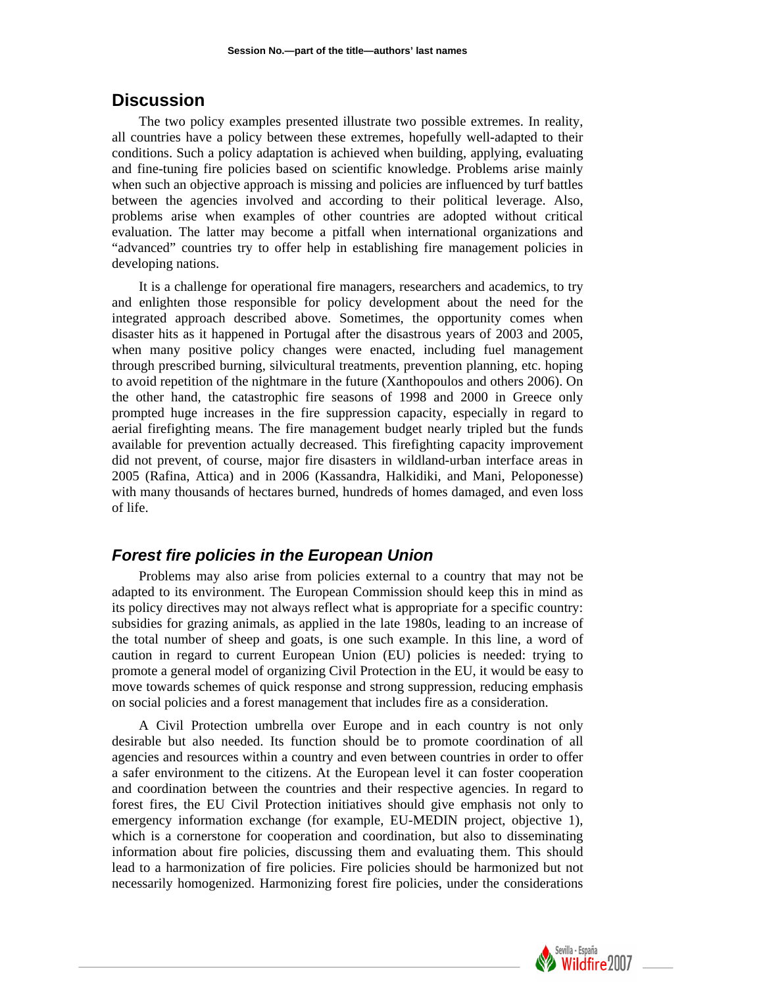# **Discussion**

The two policy examples presented illustrate two possible extremes. In reality, all countries have a policy between these extremes, hopefully well-adapted to their conditions. Such a policy adaptation is achieved when building, applying, evaluating and fine-tuning fire policies based on scientific knowledge. Problems arise mainly when such an objective approach is missing and policies are influenced by turf battles between the agencies involved and according to their political leverage. Also, problems arise when examples of other countries are adopted without critical evaluation. The latter may become a pitfall when international organizations and "advanced" countries try to offer help in establishing fire management policies in developing nations.

It is a challenge for operational fire managers, researchers and academics, to try and enlighten those responsible for policy development about the need for the integrated approach described above. Sometimes, the opportunity comes when disaster hits as it happened in Portugal after the disastrous years of 2003 and 2005, when many positive policy changes were enacted, including fuel management through prescribed burning, silvicultural treatments, prevention planning, etc. hoping to avoid repetition of the nightmare in the future (Xanthopoulos and others 2006). On the other hand, the catastrophic fire seasons of 1998 and 2000 in Greece only prompted huge increases in the fire suppression capacity, especially in regard to aerial firefighting means. The fire management budget nearly tripled but the funds available for prevention actually decreased. This firefighting capacity improvement did not prevent, of course, major fire disasters in wildland-urban interface areas in 2005 (Rafina, Attica) and in 2006 (Kassandra, Halkidiki, and Mani, Peloponesse) with many thousands of hectares burned, hundreds of homes damaged, and even loss of life.

# *Forest fire policies in the European Union*

Problems may also arise from policies external to a country that may not be adapted to its environment. The European Commission should keep this in mind as its policy directives may not always reflect what is appropriate for a specific country: subsidies for grazing animals, as applied in the late 1980s, leading to an increase of the total number of sheep and goats, is one such example. In this line, a word of caution in regard to current European Union (EU) policies is needed: trying to promote a general model of organizing Civil Protection in the EU, it would be easy to move towards schemes of quick response and strong suppression, reducing emphasis on social policies and a forest management that includes fire as a consideration.

A Civil Protection umbrella over Europe and in each country is not only desirable but also needed. Its function should be to promote coordination of all agencies and resources within a country and even between countries in order to offer a safer environment to the citizens. At the European level it can foster cooperation and coordination between the countries and their respective agencies. In regard to forest fires, the EU Civil Protection initiatives should give emphasis not only to emergency information exchange (for example, EU-MEDIN project, objective 1), which is a cornerstone for cooperation and coordination, but also to disseminating information about fire policies, discussing them and evaluating them. This should lead to a harmonization of fire policies. Fire policies should be harmonized but not necessarily homogenized. Harmonizing forest fire policies, under the considerations

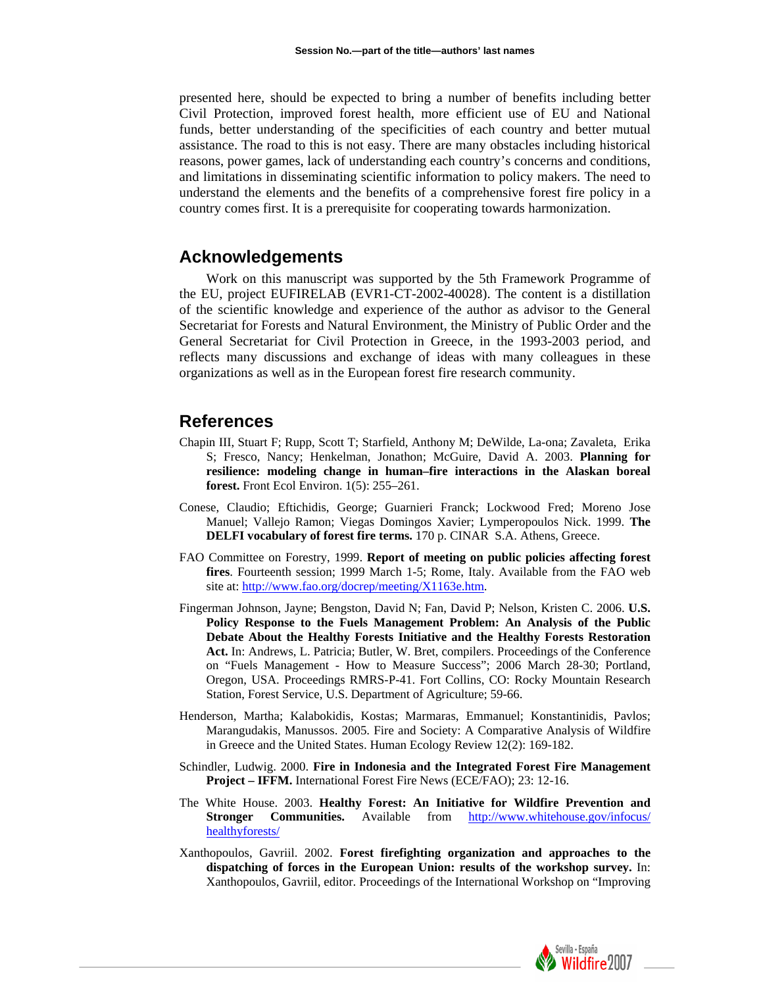presented here, should be expected to bring a number of benefits including better Civil Protection, improved forest health, more efficient use of EU and National funds, better understanding of the specificities of each country and better mutual assistance. The road to this is not easy. There are many obstacles including historical reasons, power games, lack of understanding each country's concerns and conditions, and limitations in disseminating scientific information to policy makers. The need to understand the elements and the benefits of a comprehensive forest fire policy in a country comes first. It is a prerequisite for cooperating towards harmonization.

# **Acknowledgements**

Work on this manuscript was supported by the 5th Framework Programme of the EU, project EUFIRELAB (EVR1-CT-2002-40028). The content is a distillation of the scientific knowledge and experience of the author as advisor to the General Secretariat for Forests and Natural Environment, the Ministry of Public Order and the General Secretariat for Civil Protection in Greece, in the 1993-2003 period, and reflects many discussions and exchange of ideas with many colleagues in these organizations as well as in the European forest fire research community.

## **References**

- Chapin III, Stuart F; Rupp, Scott T; Starfield, Anthony M; DeWilde, La-ona; Zavaleta, Erika S; Fresco, Nancy; Henkelman, Jonathon; McGuire, David A. 2003. **Planning for resilience: modeling change in human–fire interactions in the Alaskan boreal forest.** Front Ecol Environ. 1(5): 255–261.
- Conese, Claudio; Eftichidis, George; Guarnieri Franck; Lockwood Fred; Moreno Jose Manuel; Vallejo Ramon; Viegas Domingos Xavier; Lymperopoulos Nick. 1999. **The DELFI vocabulary of forest fire terms.** 170 p. CINAR S.A. Athens, Greece.
- FAO Committee on Forestry, 1999. **Report of meeting on public policies affecting forest fires**. Fourteenth session; 1999 March 1-5; Rome, Italy. Available from the FAO web site at: [http://www.fao.org/docrep/meeting/X1163e.htm.](http://www.fao.org/docrep/meeting/X1163e.htm)
- Fingerman Johnson, Jayne; Bengston, David N; Fan, David P; Nelson, Kristen C. 2006. **U.S. Policy Response to the Fuels Management Problem: An Analysis of the Public Debate About the Healthy Forests Initiative and the Healthy Forests Restoration Act.** In: Andrews, L. Patricia; Butler, W. Bret, compilers. Proceedings of the Conference on "Fuels Management - How to Measure Success"; 2006 March 28-30; Portland, Oregon, USA. Proceedings RMRS-P-41. Fort Collins, CO: Rocky Mountain Research Station, Forest Service, U.S. Department of Agriculture; 59-66.
- Henderson, Martha; Kalabokidis, Kostas; Marmaras, Emmanuel; Konstantinidis, Pavlos; Marangudakis, Manussos. 2005. Fire and Society: A Comparative Analysis of Wildfire in Greece and the United States. Human Ecology Review 12(2): 169-182.
- Schindler, Ludwig. 2000. **Fire in Indonesia and the Integrated Forest Fire Management Project – IFFM.** International Forest Fire News (ECE/FAO); 23: 12-16.
- The White House. 2003. **Healthy Forest: An Initiative for Wildfire Prevention and Stronger Communities.** Available from http://www.whitehouse.gov/infocus/ [healthyforests/](http://www.whitehouse.gov/infocus/%20healthyforests/)
- Xanthopoulos, Gavriil. 2002. **Forest firefighting organization and approaches to the dispatching of forces in the European Union: results of the workshop survey.** In: Xanthopoulos, Gavriil, editor. Proceedings of the International Workshop on "Improving